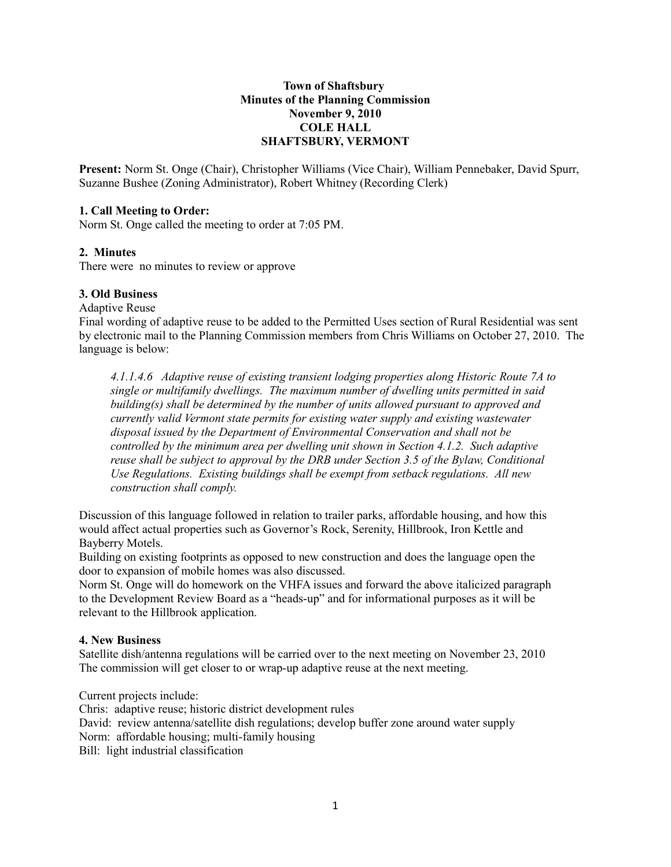## **Town of Shaftsbury Minutes of the Planning Commission November 9, 2010 COLE HALL SHAFTSBURY, VERMONT**

**Present:** Norm St. Onge (Chair), Christopher Williams (Vice Chair), William Pennebaker, David Spurr, Suzanne Bushee (Zoning Administrator), Robert Whitney (Recording Clerk)

#### **1. Call Meeting to Order:**

Norm St. Onge called the meeting to order at 7:05 PM.

### **2. Minutes**

There were no minutes to review or approve

## **3. Old Business**

Adaptive Reuse

Final wording of adaptive reuse to be added to the Permitted Uses section of Rural Residential was sent by electronic mail to the Planning Commission members from Chris Williams on October 27, 2010. The language is below:

*4.1.1.4.6 Adaptive reuse of existing transient lodging properties along Historic Route 7A to single or multifamily dwellings. The maximum number of dwelling units permitted in said building(s) shall be determined by the number of units allowed pursuant to approved and currently valid Vermont state permits for existing water supply and existing wastewater disposal issued by the Department of Environmental Conservation and shall not be controlled by the minimum area per dwelling unit shown in Section 4.1.2. Such adaptive reuse shall be subject to approval by the DRB under Section 3.5 of the Bylaw, Conditional Use Regulations. Existing buildings shall be exempt from setback regulations. All new construction shall comply.* 

Discussion of this language followed in relation to trailer parks, affordable housing, and how this would affect actual properties such as Governor's Rock, Serenity, Hillbrook, Iron Kettle and Bayberry Motels.

Building on existing footprints as opposed to new construction and does the language open the door to expansion of mobile homes was also discussed.

Norm St. Onge will do homework on the VHFA issues and forward the above italicized paragraph to the Development Review Board as a "heads-up" and for informational purposes as it will be relevant to the Hillbrook application.

#### **4. New Business**

Satellite dish/antenna regulations will be carried over to the next meeting on November 23, 2010 The commission will get closer to or wrap-up adaptive reuse at the next meeting.

Current projects include:

Chris: adaptive reuse; historic district development rules David: review antenna/satellite dish regulations; develop buffer zone around water supply Norm: affordable housing; multi-family housing Bill: light industrial classification